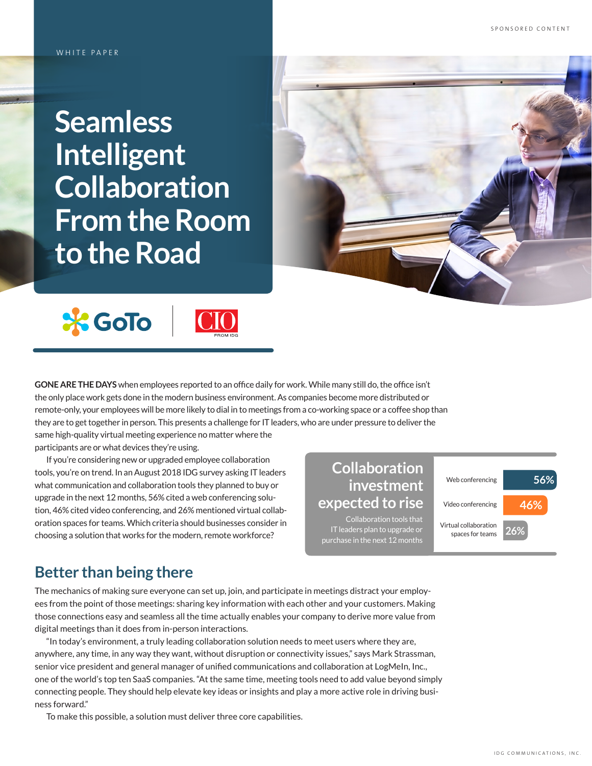**Seamless Intelligent Collaboration From the Room to the Road**



**GONE ARE THE DAYS** when employees reported to an office daily for work. While many still do, the office isn't the only place work gets done in the modern business environment. As companies become more distributed or remote-only, your employees will be more likely to dial in to meetings from a co-working space or a coffee shop than they are to get together in person. This presents a challenge for IT leaders, who are under pressure to deliver the same high-quality virtual meeting experience no matter where the

participants are or what devices they're using.

If you're considering new or upgraded employee collaboration tools, you're on trend. In an August 2018 IDG survey asking IT leaders what communication and collaboration tools they planned to buy or upgrade in the next 12 months, 56% cited a web conferencing solution, 46% cited video conferencing, and 26% mentioned virtual collaboration spaces for teams. Which criteria should businesses consider in choosing a solution that works for the modern, remote workforce?

### **Collaboration investment expected to rise**

Collaboration tools that IT leaders plan to upgrade or purchase in the next 12 months

Web conferencing Video conferencing Virtual collaboration spaces for teams **56% 46% 26%**

### **Better than being there**

The mechanics of making sure everyone can set up, join, and participate in meetings distract your employees from the point of those meetings: sharing key information with each other and your customers. Making those connections easy and seamless all the time actually enables your company to derive more value from digital meetings than it does from in-person interactions.

"In today's environment, a truly leading collaboration solution needs to meet users where they are, anywhere, any time, in any way they want, without disruption or connectivity issues," says Mark Strassman, senior vice president and general manager of unified communications and collaboration at LogMeIn, Inc., one of the world's top ten SaaS companies. "At the same time, meeting tools need to add value beyond simply connecting people. They should help elevate key ideas or insights and play a more active role in driving business forward."

To make this possible, a solution must deliver three core capabilities.